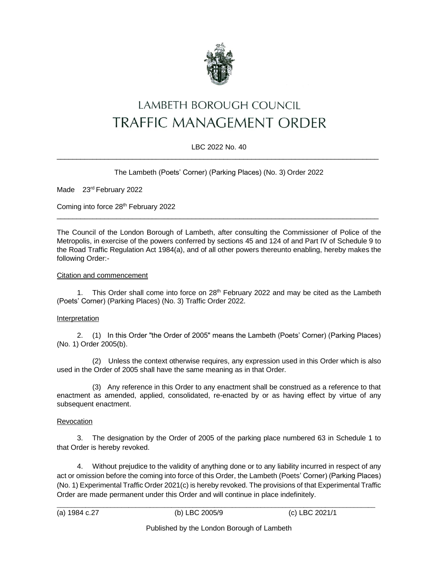

# LAMBETH BOROUGH COUNCIL **TRAFFIC MANAGEMENT ORDER**

## LBC 2022 No. 40  $\_$  , and the set of the set of the set of the set of the set of the set of the set of the set of the set of the set of the set of the set of the set of the set of the set of the set of the set of the set of the set of th

## The Lambeth (Poets' Corner) (Parking Places) (No. 3) Order 2022

Made 23<sup>rd</sup> February 2022

Coming into force 28<sup>th</sup> February 2022

The Council of the London Borough of Lambeth, after consulting the Commissioner of Police of the Metropolis, in exercise of the powers conferred by sections 45 and 124 of and Part IV of Schedule 9 to the Road Traffic Regulation Act 1984(a), and of all other powers thereunto enabling, hereby makes the following Order:-

 $\_$  , and the set of the set of the set of the set of the set of the set of the set of the set of the set of the set of the set of the set of the set of the set of the set of the set of the set of the set of the set of th

### Citation and commencement

1. This Order shall come into force on 28th February 2022 and may be cited as the Lambeth (Poets' Corner) (Parking Places) (No. 3) Traffic Order 2022.

#### Interpretation

2. (1) In this Order "the Order of 2005" means the Lambeth (Poets' Corner) (Parking Places) (No. 1) Order 2005(b).

(2) Unless the context otherwise requires, any expression used in this Order which is also used in the Order of 2005 shall have the same meaning as in that Order.

(3) Any reference in this Order to any enactment shall be construed as a reference to that enactment as amended, applied, consolidated, re-enacted by or as having effect by virtue of any subsequent enactment.

#### Revocation

3. The designation by the Order of 2005 of the parking place numbered 63 in Schedule 1 to that Order is hereby revoked.

4. Without prejudice to the validity of anything done or to any liability incurred in respect of any act or omission before the coming into force of this Order, the Lambeth (Poets' Corner) (Parking Places) (No. 1) Experimental Traffic Order 2021(c) is hereby revoked. The provisions of that Experimental Traffic Order are made permanent under this Order and will continue in place indefinitely.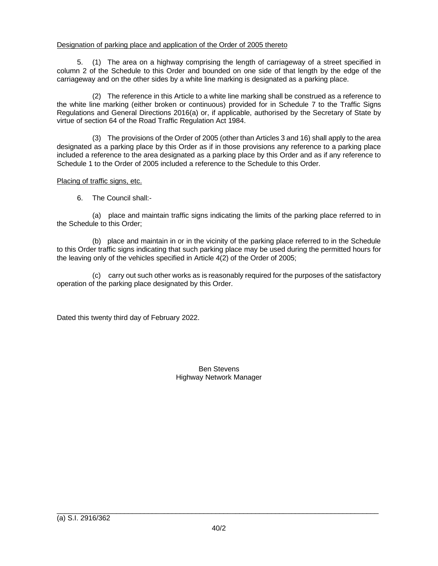## Designation of parking place and application of the Order of 2005 thereto

5. (1) The area on a highway comprising the length of carriageway of a street specified in column 2 of the Schedule to this Order and bounded on one side of that length by the edge of the carriageway and on the other sides by a white line marking is designated as a parking place.

(2) The reference in this Article to a white line marking shall be construed as a reference to the white line marking (either broken or continuous) provided for in Schedule 7 to the Traffic Signs Regulations and General Directions 2016(a) or, if applicable, authorised by the Secretary of State by virtue of section 64 of the Road Traffic Regulation Act 1984.

(3) The provisions of the Order of 2005 (other than Articles 3 and 16) shall apply to the area designated as a parking place by this Order as if in those provisions any reference to a parking place included a reference to the area designated as a parking place by this Order and as if any reference to Schedule 1 to the Order of 2005 included a reference to the Schedule to this Order.

## Placing of traffic signs, etc.

6. The Council shall:-

(a) place and maintain traffic signs indicating the limits of the parking place referred to in the Schedule to this Order;

(b) place and maintain in or in the vicinity of the parking place referred to in the Schedule to this Order traffic signs indicating that such parking place may be used during the permitted hours for the leaving only of the vehicles specified in Article 4(2) of the Order of 2005;

(c) carry out such other works as is reasonably required for the purposes of the satisfactory operation of the parking place designated by this Order.

Dated this twenty third day of February 2022.

Ben Stevens Highway Network Manager

 $\_$  , and the set of the set of the set of the set of the set of the set of the set of the set of the set of the set of the set of the set of the set of the set of the set of the set of the set of the set of the set of th (a) S.I. 2916/362